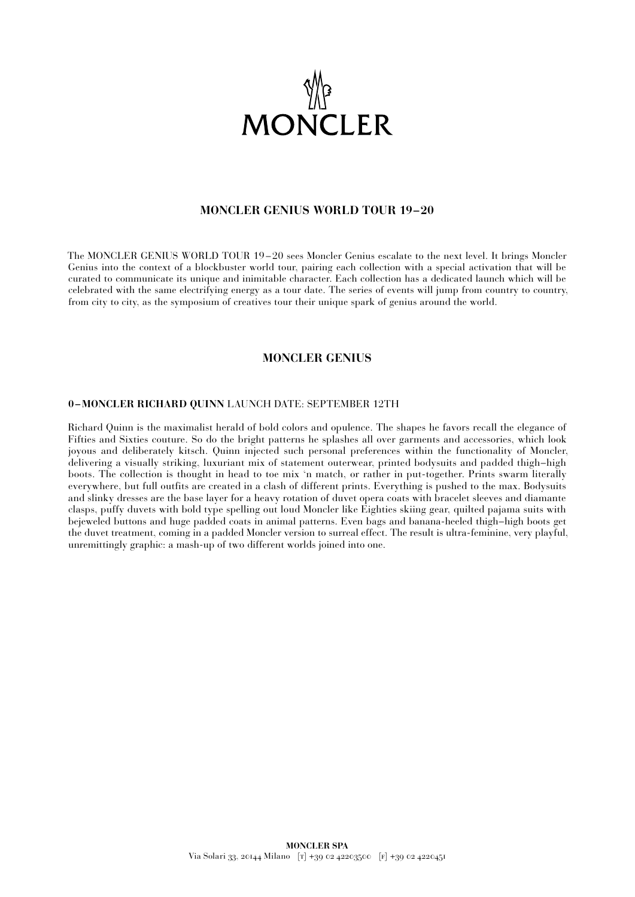

# **MONCLER GENIUS WORLD TOUR 19–20**

The MONCLER GENIUS WORLD TOUR 19 – 20 sees Moncler Genius escalate to the next level. It brings Moncler Genius into the context of a blockbuster world tour, pairing each collection with a special activation that will be curated to communicate its unique and inimitable character. Each collection has a dedicated launch which will be celebrated with the same electrifying energy as a tour date. The series of events will jump from country to country, from city to city, as the symposium of creatives tour their unique spark of genius around the world.

# **MONCLER GENIUS**

### **0 –MONCLER RICHARD QUINN** LAUNCH DATE: SEPTEMBER 12TH

Richard Quinn is the maximalist herald of bold colors and opulence. The shapes he favors recall the elegance of Fifties and Sixties couture. So do the bright patterns he splashes all over garments and accessories, which look joyous and deliberately kitsch. Quinn injected such personal preferences within the functionality of Moncler, delivering a visually striking, luxuriant mix of statement outerwear, printed bodysuits and padded thigh–high boots. The collection is thought in head to toe mix 'n match, or rather in put-together. Prints swarm literally everywhere, but full outfits are created in a clash of different prints. Everything is pushed to the max. Bodysuits and slinky dresses are the base layer for a heavy rotation of duvet opera coats with bracelet sleeves and diamante clasps, puffy duvets with bold type spelling out loud Moncler like Eighties skiing gear, quilted pajama suits with bejeweled buttons and huge padded coats in animal patterns. Even bags and banana-heeled thigh–high boots get the duvet treatment, coming in a padded Moncler version to surreal effect. The result is ultra-feminine, very playful, unremittingly graphic: a mash-up of two different worlds joined into one.